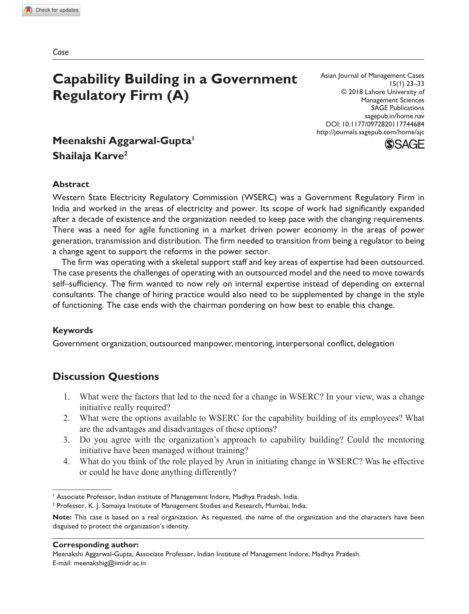*Case*

# **Capability Building in a Government Regulatory Firm (A)**

Asian Journal of Management Cases 15(1) 23–33 © 2018 Lahore University of Management Sciences SAGE Publications sagepub.in/home.nav DOI: 10.1177/0972820117744684 http://journals.sagepub.com/home/ajc



# **Meenakshi Aggarwal-Gupta1 Shailaja Karve2**

## **Abstract**

Western State Electricity Regulatory Commission (WSERC) was a Government Regulatory Firm in India and worked in the areas of electricity and power. Its scope of work had significantly expanded after a decade of existence and the organization needed to keep pace with the changing requirements. There was a need for agile functioning in a market driven power economy in the areas of power generation, transmission and distribution. The firm needed to transition from being a regulator to being a change agent to support the reforms in the power sector.

The firm was operating with a skeletal support staff and key areas of expertise had been outsourced. The case presents the challenges of operating with an outsourced model and the need to move towards self–sufficiency. The firm wanted to now rely on internal expertise instead of depending on external consultants. The change of hiring practice would also need to be supplemented by change in the style of functioning. The case ends with the chairman pondering on how best to enable this change.

# **Keywords**

Government organization, outsourced manpower, mentoring, interpersonal conflict, delegation

# **Discussion Questions**

- 1. What were the factors that led to the need for a change in WSERC? In your view, was a change initiative really required?
- 2. What were the options available to WSERC for the capability building of its employees? What are the advantages and disadvantages of these options?
- 3. Do you agree with the organization's approach to capability building? Could the mentoring initiative have been managed without training?
- 4. What do you think of the role played by Arun in initiating change in WSERC? Was he effective or could he have done anything differently?

#### **Corresponding author:**

Meenakshi Aggarwal-Gupta, Associate Professor, Indian Institute of Management Indore, Madhya Pradesh. E-mail: meenakshig@iimidr.ac.in

<sup>&</sup>lt;sup>1</sup> Associate Professor, Indian institute of Management Indore, Madhya Pradesh, India.

<sup>&</sup>lt;sup>2</sup> Professor, K. J. Somaiya Institute of Management Studies and Research, Mumbai, India.

**Note:** This case is based on a real organization. As requested, the name of the organization and the characters have been disguised to protect the organization's identity.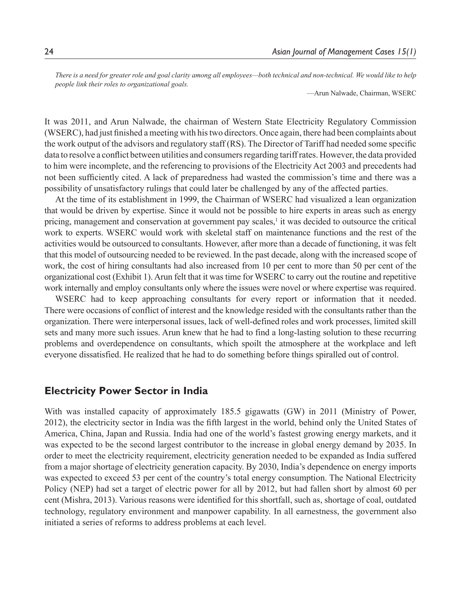*There is a need for greater role and goal clarity among all employees—both technical and non-technical. We would like to help people link their roles to organizational goals.* 

—Arun Nalwade, Chairman, WSERC

It was 2011, and Arun Nalwade, the chairman of Western State Electricity Regulatory Commission (WSERC), had just finished a meeting with his two directors. Once again, there had been complaints about the work output of the advisors and regulatory staff (RS). The Director of Tariff had needed some specific data to resolve a conflict between utilities and consumers regarding tariff rates. However, the data provided to him were incomplete, and the referencing to provisions of the Electricity Act 2003 and precedents had not been sufficiently cited. A lack of preparedness had wasted the commission's time and there was a possibility of unsatisfactory rulings that could later be challenged by any of the affected parties.

At the time of its establishment in 1999, the Chairman of WSERC had visualized a lean organization that would be driven by expertise. Since it would not be possible to hire experts in areas such as energy pricing, management and conservation at government pay scales,<sup>1</sup> it was decided to outsource the critical work to experts. WSERC would work with skeletal staff on maintenance functions and the rest of the activities would be outsourced to consultants. However, after more than a decade of functioning, it was felt that this model of outsourcing needed to be reviewed. In the past decade, along with the increased scope of work, the cost of hiring consultants had also increased from 10 per cent to more than 50 per cent of the organizational cost (Exhibit 1). Arun felt that it was time for WSERC to carry out the routine and repetitive work internally and employ consultants only where the issues were novel or where expertise was required.

WSERC had to keep approaching consultants for every report or information that it needed. There were occasions of conflict of interest and the knowledge resided with the consultants rather than the organization. There were interpersonal issues, lack of well-defined roles and work processes, limited skill sets and many more such issues. Arun knew that he had to find a long-lasting solution to these recurring problems and overdependence on consultants, which spoilt the atmosphere at the workplace and left everyone dissatisfied. He realized that he had to do something before things spiralled out of control.

# **Electricity Power Sector in India**

With was installed capacity of approximately 185.5 gigawatts (GW) in 2011 (Ministry of Power, 2012), the electricity sector in India was the fifth largest in the world, behind only the United States of America, China, Japan and Russia. India had one of the world's fastest growing energy markets, and it was expected to be the second largest contributor to the increase in global energy demand by 2035. In order to meet the electricity requirement, electricity generation needed to be expanded as India suffered from a major shortage of electricity generation capacity. By 2030, India's dependence on energy imports was expected to exceed 53 per cent of the country's total energy consumption. The National Electricity Policy (NEP) had set a target of electric power for all by 2012, but had fallen short by almost 60 per cent (Mishra, 2013). Various reasons were identified for this shortfall, such as, shortage of coal, outdated technology, regulatory environment and manpower capability. In all earnestness, the government also initiated a series of reforms to address problems at each level.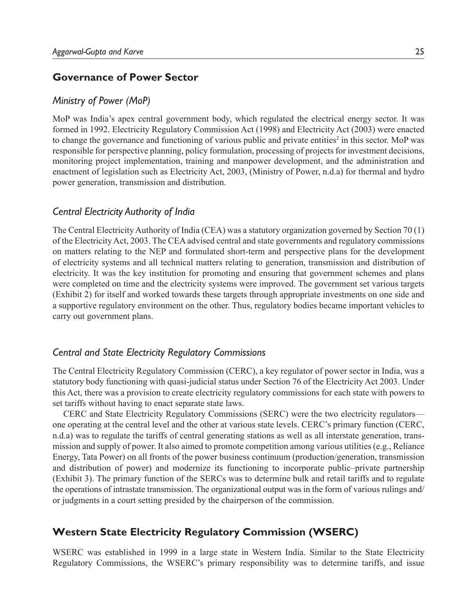# **Governance of Power Sector**

## *Ministry of Power (MoP)*

MoP was India's apex central government body, which regulated the electrical energy sector. It was formed in 1992. Electricity Regulatory Commission Act (1998) and Electricity Act (2003) were enacted to change the governance and functioning of various public and private entities<sup>2</sup> in this sector. MoP was responsible for perspective planning, policy formulation, processing of projects for investment decisions, monitoring project implementation, training and manpower development, and the administration and enactment of legislation such as Electricity Act, 2003, (Ministry of Power, n.d.a) for thermal and hydro power generation, transmission and distribution.

## *Central Electricity Authority of India*

The Central Electricity Authority of India (CEA) was a statutory organization governed by Section 70 (1) of the Electricity Act, 2003. The CEA advised central and state governments and regulatory commissions on matters relating to the NEP and formulated short-term and perspective plans for the development of electricity systems and all technical matters relating to generation, transmission and distribution of electricity. It was the key institution for promoting and ensuring that government schemes and plans were completed on time and the electricity systems were improved. The government set various targets (Exhibit 2) for itself and worked towards these targets through appropriate investments on one side and a supportive regulatory environment on the other. Thus, regulatory bodies became important vehicles to carry out government plans.

#### *Central and State Electricity Regulatory Commissions*

The Central Electricity Regulatory Commission (CERC), a key regulator of power sector in India, was a statutory body functioning with quasi-judicial status under Section 76 of the Electricity Act 2003. Under this Act, there was a provision to create electricity regulatory commissions for each state with powers to set tariffs without having to enact separate state laws.

CERC and State Electricity Regulatory Commissions (SERC) were the two electricity regulators one operating at the central level and the other at various state levels. CERC's primary function (CERC, n.d.a) was to regulate the tariffs of central generating stations as well as all interstate generation, transmission and supply of power. It also aimed to promote competition among various utilities (e.g., Reliance Energy, Tata Power) on all fronts of the power business continuum (production/generation, transmission and distribution of power) and modernize its functioning to incorporate public–private partnership (Exhibit 3). The primary function of the SERCs was to determine bulk and retail tariffs and to regulate the operations of intrastate transmission. The organizational output was in the form of various rulings and/ or judgments in a court setting presided by the chairperson of the commission.

# **Western State Electricity Regulatory Commission (WSERC)**

WSERC was established in 1999 in a large state in Western India. Similar to the State Electricity Regulatory Commissions, the WSERC's primary responsibility was to determine tariffs, and issue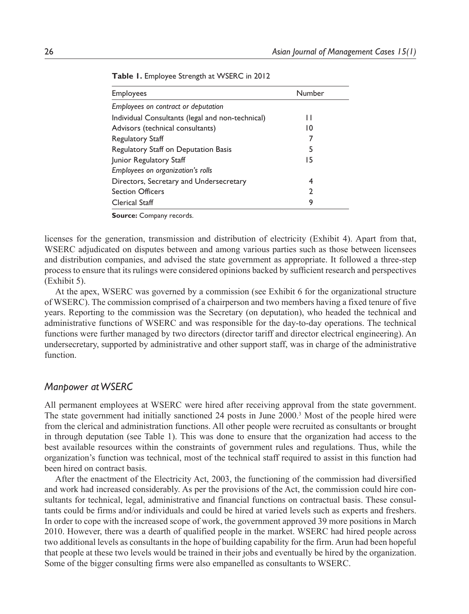| <b>Employees</b>                                 | Number |
|--------------------------------------------------|--------|
| Employees on contract or deputation              |        |
| Individual Consultants (legal and non-technical) | Н      |
| Advisors (technical consultants)                 | 10     |
| Regulatory Staff                                 |        |
| Regulatory Staff on Deputation Basis             | 5      |
| Junior Regulatory Staff                          | 15     |
| Employees on organization's rolls                |        |
| Directors, Secretary and Undersecretary          | 4      |
| <b>Section Officers</b>                          | 2      |
| Clerical Staff                                   | 9      |

**Table 1.** Employee Strength at WSERC in 2012

**Source:** Company records.

licenses for the generation, transmission and distribution of electricity (Exhibit 4). Apart from that, WSERC adjudicated on disputes between and among various parties such as those between licensees and distribution companies, and advised the state government as appropriate. It followed a three-step process to ensure that its rulings were considered opinions backed by sufficient research and perspectives (Exhibit 5).

At the apex, WSERC was governed by a commission (see Exhibit 6 for the organizational structure of WSERC). The commission comprised of a chairperson and two members having a fixed tenure of five years. Reporting to the commission was the Secretary (on deputation), who headed the technical and administrative functions of WSERC and was responsible for the day-to-day operations. The technical functions were further managed by two directors (director tariff and director electrical engineering). An undersecretary, supported by administrative and other support staff, was in charge of the administrative function.

#### *Manpower at WSERC*

All permanent employees at WSERC were hired after receiving approval from the state government. The state government had initially sanctioned 24 posts in June 2000.<sup>3</sup> Most of the people hired were from the clerical and administration functions. All other people were recruited as consultants or brought in through deputation (see Table 1). This was done to ensure that the organization had access to the best available resources within the constraints of government rules and regulations. Thus, while the organization's function was technical, most of the technical staff required to assist in this function had been hired on contract basis.

After the enactment of the Electricity Act, 2003, the functioning of the commission had diversified and work had increased considerably. As per the provisions of the Act, the commission could hire consultants for technical, legal, administrative and financial functions on contractual basis. These consultants could be firms and/or individuals and could be hired at varied levels such as experts and freshers. In order to cope with the increased scope of work, the government approved 39 more positions in March 2010. However, there was a dearth of qualified people in the market. WSERC had hired people across two additional levels as consultants in the hope of building capability for the firm. Arun had been hopeful that people at these two levels would be trained in their jobs and eventually be hired by the organization. Some of the bigger consulting firms were also empanelled as consultants to WSERC.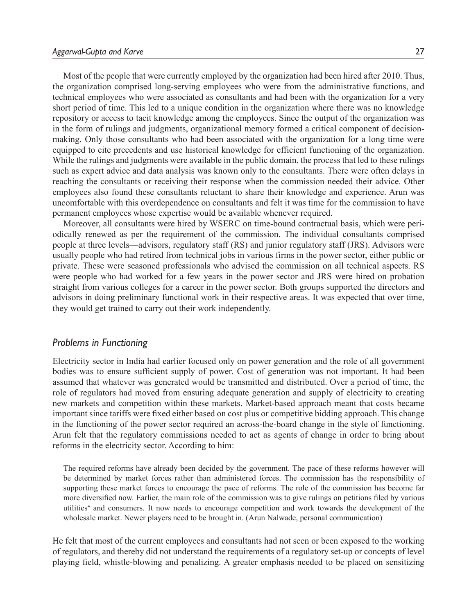Most of the people that were currently employed by the organization had been hired after 2010. Thus, the organization comprised long-serving employees who were from the administrative functions, and technical employees who were associated as consultants and had been with the organization for a very short period of time. This led to a unique condition in the organization where there was no knowledge repository or access to tacit knowledge among the employees. Since the output of the organization was in the form of rulings and judgments, organizational memory formed a critical component of decisionmaking. Only those consultants who had been associated with the organization for a long time were equipped to cite precedents and use historical knowledge for efficient functioning of the organization. While the rulings and judgments were available in the public domain, the process that led to these rulings such as expert advice and data analysis was known only to the consultants. There were often delays in reaching the consultants or receiving their response when the commission needed their advice. Other employees also found these consultants reluctant to share their knowledge and experience. Arun was uncomfortable with this overdependence on consultants and felt it was time for the commission to have permanent employees whose expertise would be available whenever required.

Moreover, all consultants were hired by WSERC on time-bound contractual basis, which were periodically renewed as per the requirement of the commission. The individual consultants comprised people at three levels—advisors, regulatory staff (RS) and junior regulatory staff (JRS). Advisors were usually people who had retired from technical jobs in various firms in the power sector, either public or private. These were seasoned professionals who advised the commission on all technical aspects. RS were people who had worked for a few years in the power sector and JRS were hired on probation straight from various colleges for a career in the power sector. Both groups supported the directors and advisors in doing preliminary functional work in their respective areas. It was expected that over time, they would get trained to carry out their work independently.

# *Problems in Functioning*

Electricity sector in India had earlier focused only on power generation and the role of all government bodies was to ensure sufficient supply of power. Cost of generation was not important. It had been assumed that whatever was generated would be transmitted and distributed. Over a period of time, the role of regulators had moved from ensuring adequate generation and supply of electricity to creating new markets and competition within these markets. Market-based approach meant that costs became important since tariffs were fixed either based on cost plus or competitive bidding approach. This change in the functioning of the power sector required an across-the-board change in the style of functioning. Arun felt that the regulatory commissions needed to act as agents of change in order to bring about reforms in the electricity sector. According to him:

The required reforms have already been decided by the government. The pace of these reforms however will be determined by market forces rather than administered forces. The commission has the responsibility of supporting these market forces to encourage the pace of reforms. The role of the commission has become far more diversified now. Earlier, the main role of the commission was to give rulings on petitions filed by various utilities4 and consumers. It now needs to encourage competition and work towards the development of the wholesale market. Newer players need to be brought in. (Arun Nalwade, personal communication)

He felt that most of the current employees and consultants had not seen or been exposed to the working of regulators, and thereby did not understand the requirements of a regulatory set-up or concepts of level playing field, whistle-blowing and penalizing. A greater emphasis needed to be placed on sensitizing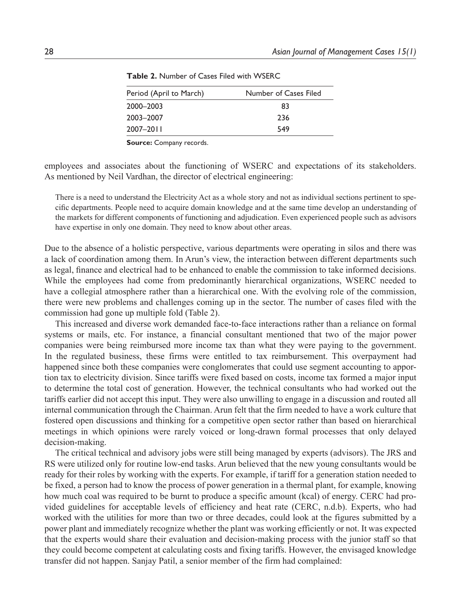| Period (April to March) | Number of Cases Filed |  |  |  |  |
|-------------------------|-----------------------|--|--|--|--|
| 2000-2003               | 83                    |  |  |  |  |
| 2003-2007               | 236                   |  |  |  |  |
| $2007 - 2011$           | 549                   |  |  |  |  |
|                         |                       |  |  |  |  |

**Table 2.** Number of Cases Filed with WSERC

**Source:** Company records.

employees and associates about the functioning of WSERC and expectations of its stakeholders. As mentioned by Neil Vardhan, the director of electrical engineering:

There is a need to understand the Electricity Act as a whole story and not as individual sections pertinent to specific departments. People need to acquire domain knowledge and at the same time develop an understanding of the markets for different components of functioning and adjudication. Even experienced people such as advisors have expertise in only one domain. They need to know about other areas.

Due to the absence of a holistic perspective, various departments were operating in silos and there was a lack of coordination among them. In Arun's view, the interaction between different departments such as legal, finance and electrical had to be enhanced to enable the commission to take informed decisions. While the employees had come from predominantly hierarchical organizations, WSERC needed to have a collegial atmosphere rather than a hierarchical one. With the evolving role of the commission, there were new problems and challenges coming up in the sector. The number of cases filed with the commission had gone up multiple fold (Table 2).

This increased and diverse work demanded face-to-face interactions rather than a reliance on formal systems or mails, etc. For instance, a financial consultant mentioned that two of the major power companies were being reimbursed more income tax than what they were paying to the government. In the regulated business, these firms were entitled to tax reimbursement. This overpayment had happened since both these companies were conglomerates that could use segment accounting to apportion tax to electricity division. Since tariffs were fixed based on costs, income tax formed a major input to determine the total cost of generation. However, the technical consultants who had worked out the tariffs earlier did not accept this input. They were also unwilling to engage in a discussion and routed all internal communication through the Chairman. Arun felt that the firm needed to have a work culture that fostered open discussions and thinking for a competitive open sector rather than based on hierarchical meetings in which opinions were rarely voiced or long-drawn formal processes that only delayed decision-making.

The critical technical and advisory jobs were still being managed by experts (advisors). The JRS and RS were utilized only for routine low-end tasks. Arun believed that the new young consultants would be ready for their roles by working with the experts. For example, if tariff for a generation station needed to be fixed, a person had to know the process of power generation in a thermal plant, for example, knowing how much coal was required to be burnt to produce a specific amount (kcal) of energy. CERC had provided guidelines for acceptable levels of efficiency and heat rate (CERC, n.d.b). Experts, who had worked with the utilities for more than two or three decades, could look at the figures submitted by a power plant and immediately recognize whether the plant was working efficiently or not. It was expected that the experts would share their evaluation and decision-making process with the junior staff so that they could become competent at calculating costs and fixing tariffs. However, the envisaged knowledge transfer did not happen. Sanjay Patil, a senior member of the firm had complained: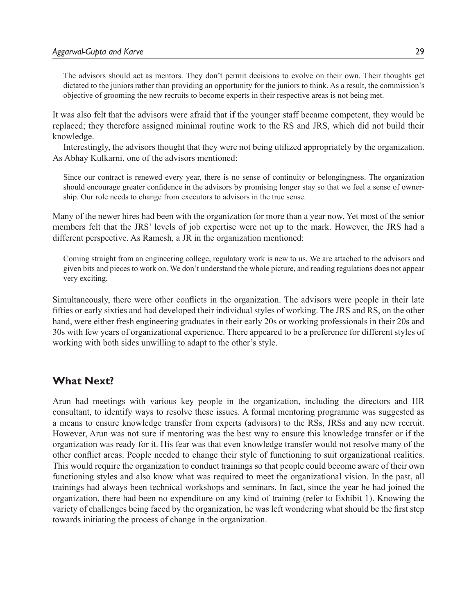The advisors should act as mentors. They don't permit decisions to evolve on their own. Their thoughts get dictated to the juniors rather than providing an opportunity for the juniors to think. As a result, the commission's objective of grooming the new recruits to become experts in their respective areas is not being met.

It was also felt that the advisors were afraid that if the younger staff became competent, they would be replaced; they therefore assigned minimal routine work to the RS and JRS, which did not build their knowledge.

Interestingly, the advisors thought that they were not being utilized appropriately by the organization. As Abhay Kulkarni, one of the advisors mentioned:

Since our contract is renewed every year, there is no sense of continuity or belongingness. The organization should encourage greater confidence in the advisors by promising longer stay so that we feel a sense of ownership. Our role needs to change from executors to advisors in the true sense.

Many of the newer hires had been with the organization for more than a year now. Yet most of the senior members felt that the JRS' levels of job expertise were not up to the mark. However, the JRS had a different perspective. As Ramesh, a JR in the organization mentioned:

Coming straight from an engineering college, regulatory work is new to us. We are attached to the advisors and given bits and pieces to work on. We don't understand the whole picture, and reading regulations does not appear very exciting.

Simultaneously, there were other conflicts in the organization. The advisors were people in their late fifties or early sixties and had developed their individual styles of working. The JRS and RS, on the other hand, were either fresh engineering graduates in their early 20s or working professionals in their 20s and 30s with few years of organizational experience. There appeared to be a preference for different styles of working with both sides unwilling to adapt to the other's style.

# **What Next?**

Arun had meetings with various key people in the organization, including the directors and HR consultant, to identify ways to resolve these issues. A formal mentoring programme was suggested as a means to ensure knowledge transfer from experts (advisors) to the RSs, JRSs and any new recruit. However, Arun was not sure if mentoring was the best way to ensure this knowledge transfer or if the organization was ready for it. His fear was that even knowledge transfer would not resolve many of the other conflict areas. People needed to change their style of functioning to suit organizational realities. This would require the organization to conduct trainings so that people could become aware of their own functioning styles and also know what was required to meet the organizational vision. In the past, all trainings had always been technical workshops and seminars. In fact, since the year he had joined the organization, there had been no expenditure on any kind of training (refer to Exhibit 1). Knowing the variety of challenges being faced by the organization, he was left wondering what should be the first step towards initiating the process of change in the organization.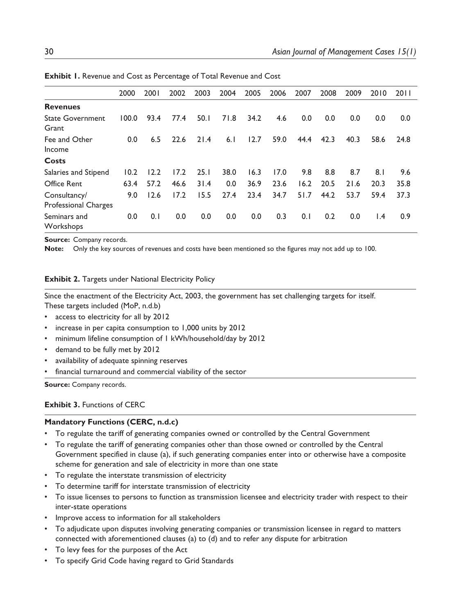|                                             | 2000  | 2001 | 2002 | 2003 | 2004 | 2005 | 2006 | 2007 | 2008 | 2009 | 2010            | 2011 |
|---------------------------------------------|-------|------|------|------|------|------|------|------|------|------|-----------------|------|
| <b>Revenues</b>                             |       |      |      |      |      |      |      |      |      |      |                 |      |
| <b>State Government</b><br>Grant            | 100.0 | 93.4 | 77.4 | 50.1 | 71.8 | 34.2 | 4.6  | 0.0  | 0.0  | 0.0  | 0.0             | 0.0  |
| Fee and Other<br>Income                     | 0.0   | 6.5  | 22.6 | 21.4 | 6.1  | 12.7 | 59.0 | 44.4 | 42.3 | 40.3 | 58.6            | 24.8 |
| Costs                                       |       |      |      |      |      |      |      |      |      |      |                 |      |
| Salaries and Stipend                        | 10.2  | 12.2 | 17.2 | 25.1 | 38.0 | 16.3 | 17.0 | 9.8  | 8.8  | 8.7  | 8.1             | 9.6  |
| <b>Office Rent</b>                          | 63.4  | 57.2 | 46.6 | 31.4 | 0.0  | 36.9 | 23.6 | 16.2 | 20.5 | 21.6 | 20.3            | 35.8 |
| Consultancy/<br><b>Professional Charges</b> | 9.0   | 12.6 | 17.2 | 15.5 | 27.4 | 23.4 | 34.7 | 51.7 | 44.2 | 53.7 | 59.4            | 37.3 |
| Seminars and<br>Workshops                   | 0.0   | 0.1  | 0.0  | 0.0  | 0.0  | 0.0  | 0.3  | 0.1  | 0.2  | 0.0  | $\mathsf{I}$ .4 | 0.9  |

**Exhibit 1.** Revenue and Cost as Percentage of Total Revenue and Cost

**Source:** Company records.

**Note:** Only the key sources of revenues and costs have been mentioned so the figures may not add up to 100.

#### **Exhibit 2.** Targets under National Electricity Policy

Since the enactment of the Electricity Act, 2003, the government has set challenging targets for itself. These targets included (MoP, n.d.b)

- access to electricity for all by 2012
- increase in per capita consumption to 1,000 units by 2012
- minimum lifeline consumption of 1 kWh/household/day by 2012
- demand to be fully met by 2012
- availability of adequate spinning reserves
- financial turnaround and commercial viability of the sector

**Source:** Company records.

#### **Exhibit 3. Functions of CERC**

#### **Mandatory Functions (CERC, n.d.c)**

- To regulate the tariff of generating companies owned or controlled by the Central Government
- To regulate the tariff of generating companies other than those owned or controlled by the Central Government specified in clause (a), if such generating companies enter into or otherwise have a composite scheme for generation and sale of electricity in more than one state
- To regulate the interstate transmission of electricity
- To determine tariff for interstate transmission of electricity
- To issue licenses to persons to function as transmission licensee and electricity trader with respect to their inter-state operations
- Improve access to information for all stakeholders
- To adjudicate upon disputes involving generating companies or transmission licensee in regard to matters connected with aforementioned clauses (a) to (d) and to refer any dispute for arbitration
- To levy fees for the purposes of the Act
- To specify Grid Code having regard to Grid Standards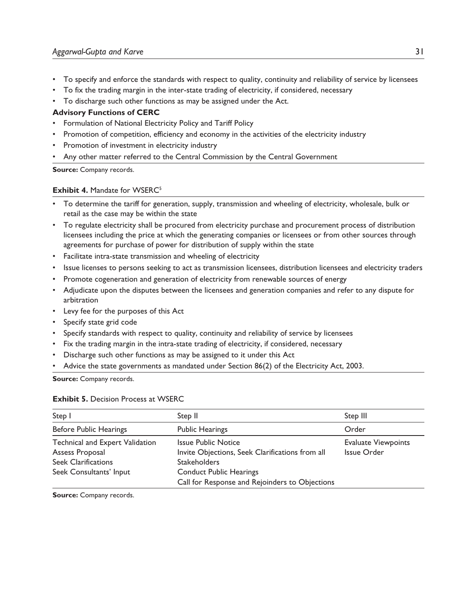- To specify and enforce the standards with respect to quality, continuity and reliability of service by licensees
- To fix the trading margin in the inter-state trading of electricity, if considered, necessary
- To discharge such other functions as may be assigned under the Act.

## **Advisory Functions of CERC**

- Formulation of National Electricity Policy and Tariff Policy
- Promotion of competition, efficiency and economy in the activities of the electricity industry
- Promotion of investment in electricity industry
- Any other matter referred to the Central Commission by the Central Government

**Source:** Company records.

## **Exhibit 4. Mandate for WSERC<sup>5</sup>**

- To determine the tariff for generation, supply, transmission and wheeling of electricity, wholesale, bulk or retail as the case may be within the state
- To regulate electricity shall be procured from electricity purchase and procurement process of distribution licensees including the price at which the generating companies or licensees or from other sources through agreements for purchase of power for distribution of supply within the state
- Facilitate intra-state transmission and wheeling of electricity
- Issue licenses to persons seeking to act as transmission licensees, distribution licensees and electricity traders
- Promote cogeneration and generation of electricity from renewable sources of energy
- Adjudicate upon the disputes between the licensees and generation companies and refer to any dispute for arbitration
- Levy fee for the purposes of this Act
- Specify state grid code
- Specify standards with respect to quality, continuity and reliability of service by licensees
- Fix the trading margin in the intra-state trading of electricity, if considered, necessary
- Discharge such other functions as may be assigned to it under this Act
- Advice the state governments as mandated under Section 86(2) of the Electricity Act, 2003.

**Source:** Company records.

#### **Exhibit 5.** Decision Process at WSERC

| Step I                          | Step II                                         | Step III                   |
|---------------------------------|-------------------------------------------------|----------------------------|
| <b>Before Public Hearings</b>   | <b>Public Hearings</b>                          | Order                      |
| Technical and Expert Validation | <b>Issue Public Notice</b>                      | <b>Evaluate Viewpoints</b> |
| Assess Proposal                 | Invite Objections, Seek Clarifications from all | Issue Order                |
| <b>Seek Clarifications</b>      | <b>Stakeholders</b>                             |                            |
| Seek Consultants' Input         | <b>Conduct Public Hearings</b>                  |                            |
|                                 | Call for Response and Rejoinders to Objections  |                            |

**Source:** Company records.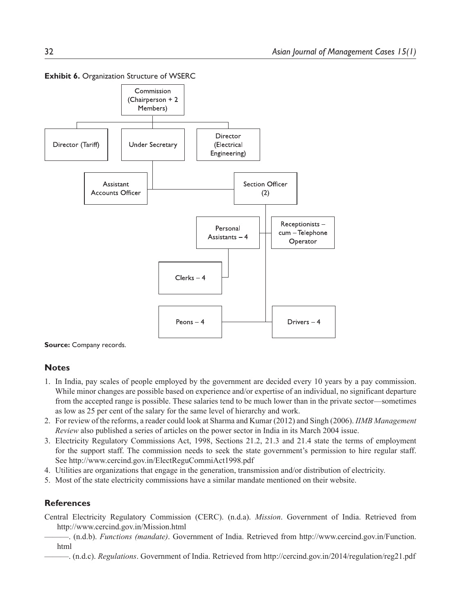

**Source:** Company records.

#### **Notes**

- 1. In India, pay scales of people employed by the government are decided every 10 years by a pay commission. While minor changes are possible based on experience and/or expertise of an individual, no significant departure from the accepted range is possible. These salaries tend to be much lower than in the private sector—sometimes as low as 25 per cent of the salary for the same level of hierarchy and work.
- 2. For review of the reforms, a reader could look at Sharma and Kumar (2012) and Singh (2006). *IIMB Management Review* also published a series of articles on the power sector in India in its March 2004 issue.
- 3. Electricity Regulatory Commissions Act, 1998, Sections 21.2, 21.3 and 21.4 state the terms of employment for the support staff. The commission needs to seek the state government's permission to hire regular staff. See http://www.cercind.gov.in/ElectReguCommiAct1998.pdf
- 4. Utilities are organizations that engage in the generation, transmission and/or distribution of electricity.
- 5. Most of the state electricity commissions have a similar mandate mentioned on their website.

#### **References**

- Central Electricity Regulatory Commission (CERC). (n.d.a). *Mission*. Government of India. Retrieved from http://www.cercind.gov.in/Mission.html
	- ———. (n.d.b). *Functions (mandate)*. Government of India. Retrieved from http://www.cercind.gov.in/Function. html
		- ———. (n.d.c). *Regulations*. Government of India. Retrieved from http://cercind.gov.in/2014/regulation/reg21.pdf